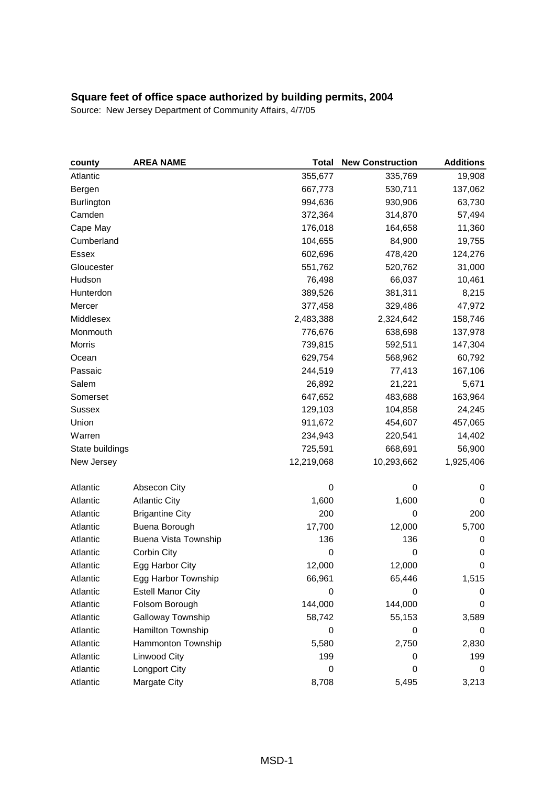| county          | <b>AREA NAME</b>            | Total      | <b>New Construction</b> | <b>Additions</b> |
|-----------------|-----------------------------|------------|-------------------------|------------------|
| Atlantic        |                             | 355,677    | 335,769                 | 19,908           |
| Bergen          |                             | 667,773    | 530,711                 | 137,062          |
| Burlington      |                             | 994,636    | 930,906                 | 63,730           |
| Camden          |                             | 372,364    | 314,870                 | 57,494           |
| Cape May        |                             | 176,018    | 164,658                 | 11,360           |
| Cumberland      |                             | 104,655    | 84,900                  | 19,755           |
| Essex           |                             | 602,696    | 478,420                 | 124,276          |
| Gloucester      |                             | 551,762    | 520,762                 | 31,000           |
| Hudson          |                             | 76,498     | 66,037                  | 10,461           |
| Hunterdon       |                             | 389,526    | 381,311                 | 8,215            |
| Mercer          |                             | 377,458    | 329,486                 | 47,972           |
| Middlesex       |                             | 2,483,388  | 2,324,642               | 158,746          |
| Monmouth        |                             | 776,676    | 638,698                 | 137,978          |
| Morris          |                             | 739,815    | 592,511                 | 147,304          |
| Ocean           |                             | 629,754    | 568,962                 | 60,792           |
| Passaic         |                             | 244,519    | 77,413                  | 167,106          |
| Salem           |                             | 26,892     | 21,221                  | 5,671            |
| Somerset        |                             | 647,652    | 483,688                 | 163,964          |
| Sussex          |                             | 129,103    | 104,858                 | 24,245           |
| Union           |                             | 911,672    | 454,607                 | 457,065          |
| Warren          |                             | 234,943    | 220,541                 | 14,402           |
| State buildings |                             | 725,591    | 668,691                 | 56,900           |
| New Jersey      |                             | 12,219,068 | 10,293,662              | 1,925,406        |
| Atlantic        | Absecon City                | 0          | 0                       | 0                |
| Atlantic        | <b>Atlantic City</b>        | 1,600      | 1,600                   | 0                |
| Atlantic        | <b>Brigantine City</b>      | 200        | $\mathbf 0$             | 200              |
| Atlantic        | Buena Borough               | 17,700     | 12,000                  | 5,700            |
| Atlantic        | <b>Buena Vista Township</b> | 136        | 136                     | 0                |
| Atlantic        | Corbin City                 | 0          | 0                       | 0                |
| Atlantic        | Egg Harbor City             | 12,000     | 12,000                  | $\mathbf 0$      |
| Atlantic        | Egg Harbor Township         | 66,961     | 65,446                  | 1,515            |
| Atlantic        | <b>Estell Manor City</b>    | 0          | 0                       | 0                |
| Atlantic        | Folsom Borough              | 144,000    | 144,000                 | 0                |
| Atlantic        | Galloway Township           | 58,742     | 55,153                  | 3,589            |
| Atlantic        | Hamilton Township           | 0          | 0                       | 0                |
| Atlantic        | Hammonton Township          | 5,580      | 2,750                   | 2,830            |
| Atlantic        | Linwood City                | 199        | 0                       | 199              |
| Atlantic        | Longport City               | 0          | 0                       | 0                |
| Atlantic        | Margate City                | 8,708      | 5,495                   | 3,213            |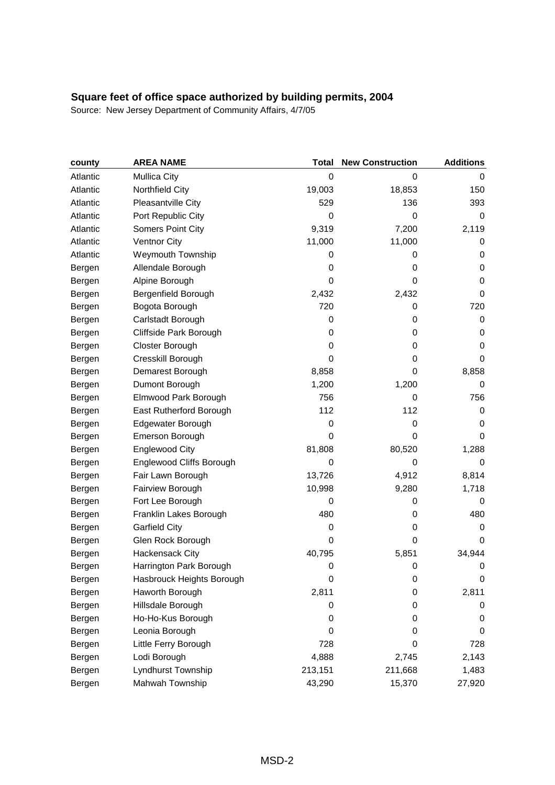| county   | <b>AREA NAME</b>          | <b>Total</b> | <b>New Construction</b> | <b>Additions</b> |
|----------|---------------------------|--------------|-------------------------|------------------|
| Atlantic | <b>Mullica City</b>       | 0            | 0                       | 0                |
| Atlantic | Northfield City           | 19,003       | 18,853                  | 150              |
| Atlantic | Pleasantville City        | 529          | 136                     | 393              |
| Atlantic | Port Republic City        | 0            | 0                       | $\mathbf 0$      |
| Atlantic | Somers Point City         | 9,319        | 7,200                   | 2,119            |
| Atlantic | <b>Ventnor City</b>       | 11,000       | 11,000                  | 0                |
| Atlantic | <b>Weymouth Township</b>  | 0            | 0                       | 0                |
| Bergen   | Allendale Borough         | 0            | 0                       | 0                |
| Bergen   | Alpine Borough            | $\mathbf 0$  | 0                       | 0                |
| Bergen   | Bergenfield Borough       | 2,432        | 2,432                   | 0                |
| Bergen   | Bogota Borough            | 720          | 0                       | 720              |
| Bergen   | Carlstadt Borough         | $\mathbf 0$  | 0                       | 0                |
| Bergen   | Cliffside Park Borough    | 0            | 0                       | 0                |
| Bergen   | Closter Borough           | 0            | 0                       | 0                |
| Bergen   | Cresskill Borough         | 0            | 0                       | 0                |
| Bergen   | Demarest Borough          | 8,858        | 0                       | 8,858            |
| Bergen   | Dumont Borough            | 1,200        | 1,200                   | 0                |
| Bergen   | Elmwood Park Borough      | 756          | 0                       | 756              |
| Bergen   | East Rutherford Borough   | 112          | 112                     | 0                |
| Bergen   | Edgewater Borough         | 0            | 0                       | 0                |
| Bergen   | Emerson Borough           | $\mathbf 0$  | 0                       | 0                |
| Bergen   | <b>Englewood City</b>     | 81,808       | 80,520                  | 1,288            |
| Bergen   | Englewood Cliffs Borough  | $\mathbf 0$  | 0                       | 0                |
| Bergen   | Fair Lawn Borough         | 13,726       | 4,912                   | 8,814            |
| Bergen   | Fairview Borough          | 10,998       | 9,280                   | 1,718            |
| Bergen   | Fort Lee Borough          | 0            | 0                       | 0                |
| Bergen   | Franklin Lakes Borough    | 480          | 0                       | 480              |
| Bergen   | <b>Garfield City</b>      | 0            | 0                       | 0                |
| Bergen   | Glen Rock Borough         | 0            | 0                       | 0                |
| Bergen   | <b>Hackensack City</b>    | 40,795       | 5,851                   | 34,944           |
| Bergen   | Harrington Park Borough   | 0            | 0                       | 0                |
| Bergen   | Hasbrouck Heights Borough | 0            | 0                       | 0                |
| Bergen   | Haworth Borough           | 2,811        | 0                       | 2,811            |
| Bergen   | Hillsdale Borough         | 0            | 0                       | 0                |
| Bergen   | Ho-Ho-Kus Borough         | 0            | 0                       | 0                |
| Bergen   | Leonia Borough            | 0            | 0                       | 0                |
| Bergen   | Little Ferry Borough      | 728          | 0                       | 728              |
| Bergen   | Lodi Borough              | 4,888        | 2,745                   | 2,143            |
| Bergen   | Lyndhurst Township        | 213,151      | 211,668                 | 1,483            |
| Bergen   | Mahwah Township           | 43,290       | 15,370                  | 27,920           |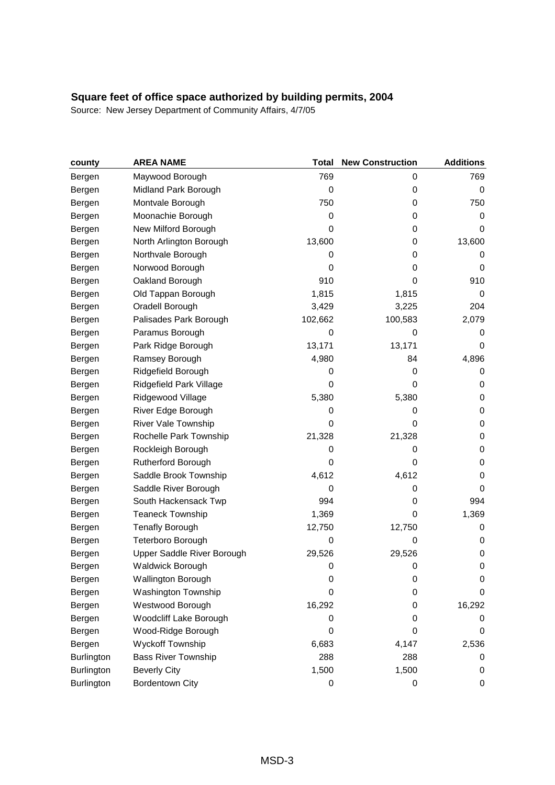| county     | <b>AREA NAME</b>           | <b>Total</b> | <b>New Construction</b> | <b>Additions</b> |
|------------|----------------------------|--------------|-------------------------|------------------|
| Bergen     | Maywood Borough            | 769          | 0                       | 769              |
| Bergen     | Midland Park Borough       | 0            | 0                       | 0                |
| Bergen     | Montvale Borough           | 750          | 0                       | 750              |
| Bergen     | Moonachie Borough          | 0            | 0                       | 0                |
| Bergen     | New Milford Borough        | 0            | 0                       | 0                |
| Bergen     | North Arlington Borough    | 13,600       | 0                       | 13,600           |
| Bergen     | Northvale Borough          | 0            | 0                       | 0                |
| Bergen     | Norwood Borough            | 0            | 0                       | 0                |
| Bergen     | Oakland Borough            | 910          | 0                       | 910              |
| Bergen     | Old Tappan Borough         | 1,815        | 1,815                   | 0                |
| Bergen     | Oradell Borough            | 3,429        | 3,225                   | 204              |
| Bergen     | Palisades Park Borough     | 102,662      | 100,583                 | 2,079            |
| Bergen     | Paramus Borough            | 0            | 0                       | 0                |
| Bergen     | Park Ridge Borough         | 13,171       | 13,171                  | 0                |
| Bergen     | Ramsey Borough             | 4,980        | 84                      | 4,896            |
| Bergen     | Ridgefield Borough         | 0            | 0                       | 0                |
| Bergen     | Ridgefield Park Village    | 0            | 0                       | 0                |
| Bergen     | Ridgewood Village          | 5,380        | 5,380                   | 0                |
| Bergen     | River Edge Borough         | 0            | 0                       | 0                |
| Bergen     | River Vale Township        | 0            | 0                       | $\pmb{0}$        |
| Bergen     | Rochelle Park Township     | 21,328       | 21,328                  | 0                |
| Bergen     | Rockleigh Borough          | 0            | 0                       | 0                |
| Bergen     | Rutherford Borough         | 0            | 0                       | 0                |
| Bergen     | Saddle Brook Township      | 4,612        | 4,612                   | 0                |
| Bergen     | Saddle River Borough       | 0            | 0                       | 0                |
| Bergen     | South Hackensack Twp       | 994          | 0                       | 994              |
| Bergen     | <b>Teaneck Township</b>    | 1,369        | 0                       | 1,369            |
| Bergen     | <b>Tenafly Borough</b>     | 12,750       | 12,750                  | 0                |
| Bergen     | Teterboro Borough          | $\mathbf 0$  | 0                       | 0                |
| Bergen     | Upper Saddle River Borough | 29,526       | 29,526                  | 0                |
| Bergen     | <b>Waldwick Borough</b>    | $\mathbf 0$  | 0                       | 0                |
| Bergen     | <b>Wallington Borough</b>  | 0            | 0                       | 0                |
| Bergen     | Washington Township        | 0            | 0                       | 0                |
| Bergen     | Westwood Borough           | 16,292       | 0                       | 16,292           |
| Bergen     | Woodcliff Lake Borough     | 0            | 0                       | 0                |
| Bergen     | Wood-Ridge Borough         | 0            | 0                       | 0                |
| Bergen     | Wyckoff Township           | 6,683        | 4,147                   | 2,536            |
| Burlington | <b>Bass River Township</b> | 288          | 288                     | 0                |
| Burlington | <b>Beverly City</b>        | 1,500        | 1,500                   | 0                |
| Burlington | <b>Bordentown City</b>     | 0            | 0                       | 0                |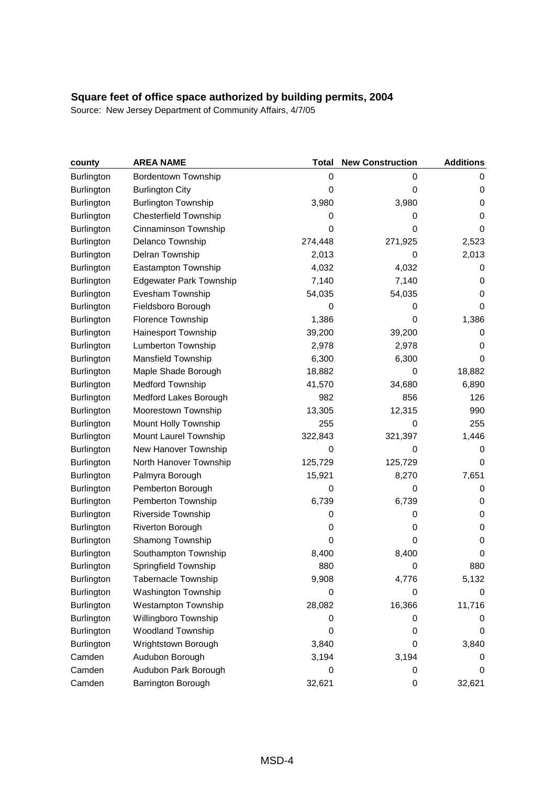| county            | <b>AREA NAME</b>               | <b>Total</b> | <b>New Construction</b> | <b>Additions</b> |
|-------------------|--------------------------------|--------------|-------------------------|------------------|
| Burlington        | <b>Bordentown Township</b>     | 0            | 0                       | 0                |
| Burlington        | <b>Burlington City</b>         | 0            | 0                       | 0                |
| <b>Burlington</b> | <b>Burlington Township</b>     | 3,980        | 3,980                   | 0                |
| <b>Burlington</b> | <b>Chesterfield Township</b>   | 0            | 0                       | 0                |
| <b>Burlington</b> | Cinnaminson Township           | 0            | 0                       | $\Omega$         |
| Burlington        | Delanco Township               | 274,448      | 271,925                 | 2,523            |
| Burlington        | Delran Township                | 2,013        | 0                       | 2,013            |
| <b>Burlington</b> | Eastampton Township            | 4,032        | 4,032                   | 0                |
| <b>Burlington</b> | <b>Edgewater Park Township</b> | 7,140        | 7,140                   | 0                |
| Burlington        | Evesham Township               | 54,035       | 54,035                  | 0                |
| <b>Burlington</b> | Fieldsboro Borough             | 0            | 0                       | 0                |
| Burlington        | Florence Township              | 1,386        | 0                       | 1,386            |
| <b>Burlington</b> | Hainesport Township            | 39,200       | 39,200                  | 0                |
| Burlington        | <b>Lumberton Township</b>      | 2,978        | 2,978                   | 0                |
| Burlington        | Mansfield Township             | 6,300        | 6,300                   | 0                |
| Burlington        | Maple Shade Borough            | 18,882       | 0                       | 18,882           |
| <b>Burlington</b> | <b>Medford Township</b>        | 41,570       | 34,680                  | 6,890            |
| <b>Burlington</b> | Medford Lakes Borough          | 982          | 856                     | 126              |
| Burlington        | Moorestown Township            | 13,305       | 12,315                  | 990              |
| Burlington        | Mount Holly Township           | 255          | 0                       | 255              |
| Burlington        | Mount Laurel Township          | 322,843      | 321,397                 | 1,446            |
| <b>Burlington</b> | New Hanover Township           | 0            | 0                       | 0                |
| Burlington        | North Hanover Township         | 125,729      | 125,729                 | 0                |
| <b>Burlington</b> | Palmyra Borough                | 15,921       | 8,270                   | 7,651            |
| Burlington        | Pemberton Borough              | 0            | 0                       | 0                |
| Burlington        | Pemberton Township             | 6,739        | 6,739                   | 0                |
| Burlington        | Riverside Township             | 0            | 0                       | 0                |
| <b>Burlington</b> | Riverton Borough               | 0            | 0                       | 0                |
| Burlington        | Shamong Township               | 0            | 0                       | 0                |
| <b>Burlington</b> | Southampton Township           | 8,400        | 8,400                   | 0                |
| <b>Burlington</b> | Springfield Township           | 880          | 0                       | 880              |
| <b>Burlington</b> | <b>Tabernacle Township</b>     | 9,908        | 4,776                   | 5,132            |
| Burlington        | Washington Township            | 0            | 0                       | 0                |
| Burlington        | <b>Westampton Township</b>     | 28,082       | 16,366                  | 11,716           |
| Burlington        | Willingboro Township           | 0            | 0                       | 0                |
| <b>Burlington</b> | <b>Woodland Township</b>       | 0            | 0                       | 0                |
| <b>Burlington</b> | Wrightstown Borough            | 3,840        | 0                       | 3,840            |
| Camden            | Audubon Borough                | 3,194        | 3,194                   | U                |
| Camden            | Audubon Park Borough           | 0            | 0                       | 0                |
| Camden            | Barrington Borough             | 32,621       | 0                       | 32,621           |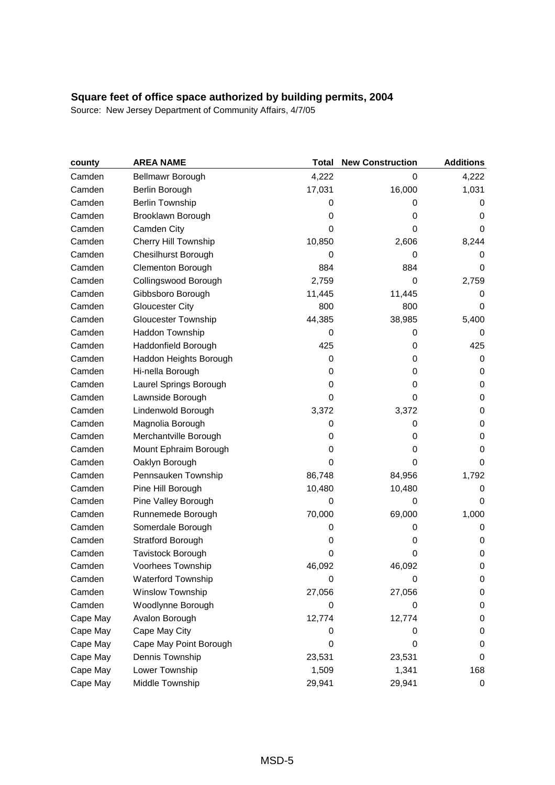| county   | <b>AREA NAME</b>           | <b>Total</b> | <b>New Construction</b> | <b>Additions</b> |
|----------|----------------------------|--------------|-------------------------|------------------|
| Camden   | Bellmawr Borough           | 4,222        | 0                       | 4,222            |
| Camden   | Berlin Borough             | 17,031       | 16,000                  | 1,031            |
| Camden   | <b>Berlin Township</b>     | 0            | 0                       | 0                |
| Camden   | Brooklawn Borough          | 0            | 0                       | 0                |
| Camden   | Camden City                | 0            | 0                       | 0                |
| Camden   | Cherry Hill Township       | 10,850       | 2,606                   | 8,244            |
| Camden   | <b>Chesilhurst Borough</b> | $\mathbf 0$  | 0                       | 0                |
| Camden   | <b>Clementon Borough</b>   | 884          | 884                     | 0                |
| Camden   | Collingswood Borough       | 2,759        | 0                       | 2,759            |
| Camden   | Gibbsboro Borough          | 11,445       | 11,445                  | 0                |
| Camden   | <b>Gloucester City</b>     | 800          | 800                     | 0                |
| Camden   | <b>Gloucester Township</b> | 44,385       | 38,985                  | 5,400            |
| Camden   | Haddon Township            | 0            | 0                       | 0                |
| Camden   | Haddonfield Borough        | 425          | 0                       | 425              |
| Camden   | Haddon Heights Borough     | $\mathbf 0$  | 0                       | 0                |
| Camden   | Hi-nella Borough           | 0            | 0                       | 0                |
| Camden   | Laurel Springs Borough     | 0            | 0                       | 0                |
| Camden   | Lawnside Borough           | 0            | 0                       | 0                |
| Camden   | Lindenwold Borough         | 3,372        | 3,372                   | 0                |
| Camden   | Magnolia Borough           | 0            | 0                       | 0                |
| Camden   | Merchantville Borough      | 0            | 0                       | 0                |
| Camden   | Mount Ephraim Borough      | 0            | 0                       | 0                |
| Camden   | Oaklyn Borough             | 0            | 0                       | 0                |
| Camden   | Pennsauken Township        | 86,748       | 84,956                  | 1,792            |
| Camden   | Pine Hill Borough          | 10,480       | 10,480                  | 0                |
| Camden   | Pine Valley Borough        | $\mathbf 0$  | 0                       | 0                |
| Camden   | Runnemede Borough          | 70,000       | 69,000                  | 1,000            |
| Camden   | Somerdale Borough          | 0            | 0                       | 0                |
| Camden   | <b>Stratford Borough</b>   | 0            | 0                       | 0                |
| Camden   | Tavistock Borough          | 0            | 0                       | 0                |
| Camden   | Voorhees Township          | 46,092       | 46,092                  | 0                |
| Camden   | Waterford Township         | 0            | 0                       | 0                |
| Camden   | Winslow Township           | 27,056       | 27,056                  | 0                |
| Camden   | Woodlynne Borough          | 0            | 0                       | 0                |
| Cape May | Avalon Borough             | 12,774       | 12,774                  | 0                |
| Cape May | Cape May City              | 0            | 0                       | 0                |
| Cape May | Cape May Point Borough     | 0            | 0                       | 0                |
| Cape May | Dennis Township            | 23,531       | 23,531                  | 0                |
| Cape May | Lower Township             | 1,509        | 1,341                   | 168              |
| Cape May | Middle Township            | 29,941       | 29,941                  | $\pmb{0}$        |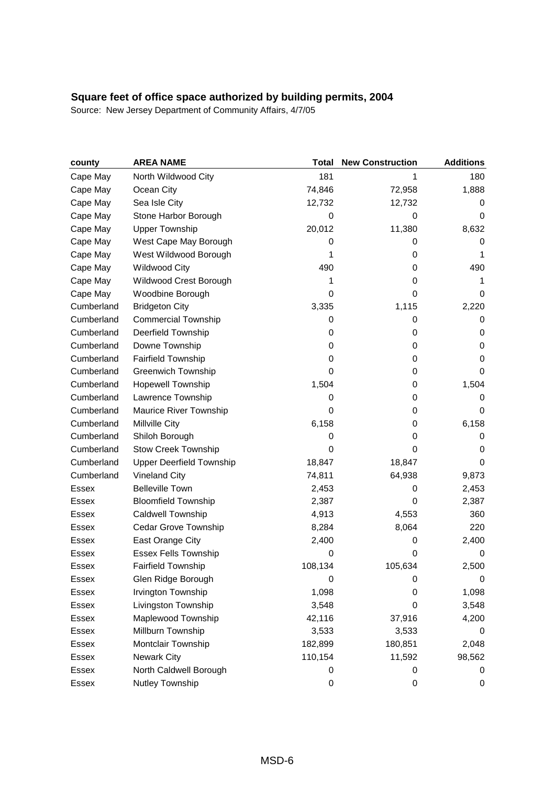| county       | <b>AREA NAME</b>                | Total       | <b>New Construction</b> | <b>Additions</b> |
|--------------|---------------------------------|-------------|-------------------------|------------------|
| Cape May     | North Wildwood City             | 181         | 1                       | 180              |
| Cape May     | Ocean City                      | 74,846      | 72,958                  | 1,888            |
| Cape May     | Sea Isle City                   | 12,732      | 12,732                  | 0                |
| Cape May     | Stone Harbor Borough            | $\mathbf 0$ | 0                       | 0                |
| Cape May     | <b>Upper Township</b>           | 20,012      | 11,380                  | 8,632            |
| Cape May     | West Cape May Borough           | 0           | 0                       | 0                |
| Cape May     | West Wildwood Borough           | 1           | 0                       | 1                |
| Cape May     | <b>Wildwood City</b>            | 490         | 0                       | 490              |
| Cape May     | Wildwood Crest Borough          | 1           | 0                       | 1                |
| Cape May     | Woodbine Borough                | 0           | 0                       | 0                |
| Cumberland   | <b>Bridgeton City</b>           | 3,335       | 1,115                   | 2,220            |
| Cumberland   | <b>Commercial Township</b>      | 0           | 0                       | 0                |
| Cumberland   | Deerfield Township              | 0           | 0                       | 0                |
| Cumberland   | Downe Township                  | 0           | 0                       | 0                |
| Cumberland   | Fairfield Township              | 0           | 0                       | 0                |
| Cumberland   | <b>Greenwich Township</b>       | 0           | 0                       | 0                |
| Cumberland   | <b>Hopewell Township</b>        | 1,504       | 0                       | 1,504            |
| Cumberland   | Lawrence Township               | 0           | 0                       | 0                |
| Cumberland   | Maurice River Township          | $\mathbf 0$ | 0                       | 0                |
| Cumberland   | Millville City                  | 6,158       | 0                       | 6,158            |
| Cumberland   | Shiloh Borough                  | 0           | 0                       | 0                |
| Cumberland   | <b>Stow Creek Township</b>      | 0           | 0                       | 0                |
| Cumberland   | <b>Upper Deerfield Township</b> | 18,847      | 18,847                  | 0                |
| Cumberland   | <b>Vineland City</b>            | 74,811      | 64,938                  | 9,873            |
| Essex        | <b>Belleville Town</b>          | 2,453       | 0                       | 2,453            |
| Essex        | <b>Bloomfield Township</b>      | 2,387       | 0                       | 2,387            |
| <b>Essex</b> | Caldwell Township               | 4,913       | 4,553                   | 360              |
| Essex        | Cedar Grove Township            | 8,284       | 8,064                   | 220              |
| <b>Essex</b> | East Orange City                | 2,400       | 0                       | 2,400            |
| <b>Essex</b> | <b>Essex Fells Township</b>     | 0           | 0                       | 0                |
| Essex        | <b>Fairfield Township</b>       | 108,134     | 105,634                 | 2,500            |
| Essex        | Glen Ridge Borough              | 0           | 0                       | 0                |
| Essex        | Irvington Township              | 1,098       | 0                       | 1,098            |
| <b>Essex</b> | Livingston Township             | 3,548       | 0                       | 3,548            |
| Essex        | Maplewood Township              | 42,116      | 37,916                  | 4,200            |
| <b>Essex</b> | Millburn Township               | 3,533       | 3,533                   | 0                |
| <b>Essex</b> | Montclair Township              | 182,899     | 180,851                 | 2,048            |
| <b>Essex</b> | <b>Newark City</b>              | 110,154     | 11,592                  | 98,562           |
| <b>Essex</b> | North Caldwell Borough          | 0           | 0                       | 0                |
| Essex        | Nutley Township                 | 0           | 0                       | 0                |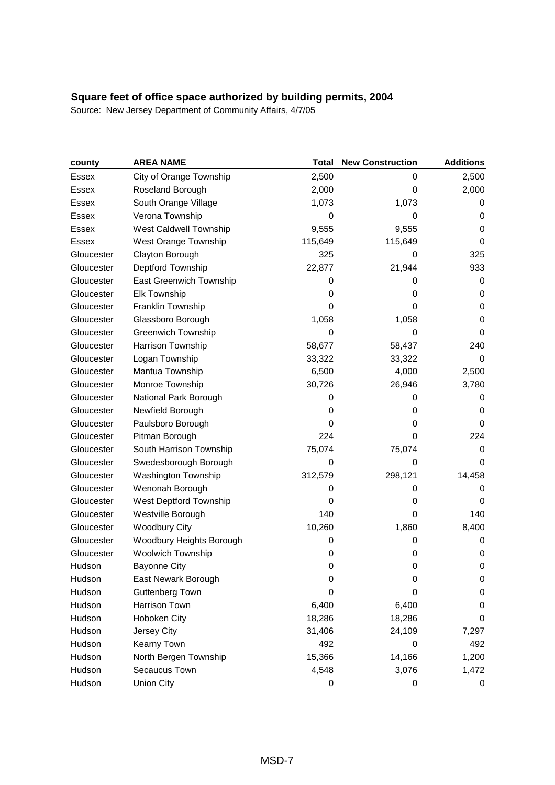| county       | <b>AREA NAME</b>          | <b>Total</b> | <b>New Construction</b> | <b>Additions</b> |
|--------------|---------------------------|--------------|-------------------------|------------------|
| <b>Essex</b> | City of Orange Township   | 2,500        | 0                       | 2,500            |
| Essex        | Roseland Borough          | 2,000        | 0                       | 2,000            |
| Essex        | South Orange Village      | 1,073        | 1,073                   | 0                |
| <b>Essex</b> | Verona Township           | $\mathbf 0$  | 0                       | 0                |
| Essex        | West Caldwell Township    | 9,555        | 9,555                   | 0                |
| <b>Essex</b> | West Orange Township      | 115,649      | 115,649                 | 0                |
| Gloucester   | Clayton Borough           | 325          | 0                       | 325              |
| Gloucester   | Deptford Township         | 22,877       | 21,944                  | 933              |
| Gloucester   | East Greenwich Township   | 0            | 0                       | 0                |
| Gloucester   | <b>Elk Township</b>       | 0            | 0                       | 0                |
| Gloucester   | Franklin Township         | 0            | 0                       | 0                |
| Gloucester   | Glassboro Borough         | 1,058        | 1,058                   | 0                |
| Gloucester   | <b>Greenwich Township</b> | 0            | 0                       | 0                |
| Gloucester   | Harrison Township         | 58,677       | 58,437                  | 240              |
| Gloucester   | Logan Township            | 33,322       | 33,322                  | $\mathbf 0$      |
| Gloucester   | Mantua Township           | 6,500        | 4,000                   | 2,500            |
| Gloucester   | Monroe Township           | 30,726       | 26,946                  | 3,780            |
| Gloucester   | National Park Borough     | 0            | 0                       | 0                |
| Gloucester   | Newfield Borough          | 0            | 0                       | 0                |
| Gloucester   | Paulsboro Borough         | 0            | 0                       | 0                |
| Gloucester   | Pitman Borough            | 224          | 0                       | 224              |
| Gloucester   | South Harrison Township   | 75,074       | 75,074                  | 0                |
| Gloucester   | Swedesborough Borough     | 0            | 0                       | 0                |
| Gloucester   | Washington Township       | 312,579      | 298,121                 | 14,458           |
| Gloucester   | Wenonah Borough           | 0            | 0                       | 0                |
| Gloucester   | West Deptford Township    | 0            | 0                       | 0                |
| Gloucester   | Westville Borough         | 140          | 0                       | 140              |
| Gloucester   | <b>Woodbury City</b>      | 10,260       | 1,860                   | 8,400            |
| Gloucester   | Woodbury Heights Borough  | 0            | 0                       | 0                |
| Gloucester   | Woolwich Township         | 0            | 0                       | 0                |
| Hudson       | <b>Bayonne City</b>       | 0            | 0                       | 0                |
| Hudson       | East Newark Borough       | 0            | 0                       | 0                |
| Hudson       | Guttenberg Town           | 0            | 0                       | 0                |
| Hudson       | Harrison Town             | 6,400        | 6,400                   | 0                |
| Hudson       | Hoboken City              | 18,286       | 18,286                  | 0                |
| Hudson       | Jersey City               | 31,406       | 24,109                  | 7,297            |
| Hudson       | Kearny Town               | 492          | 0                       | 492              |
| Hudson       | North Bergen Township     | 15,366       | 14,166                  | 1,200            |
| Hudson       | Secaucus Town             | 4,548        | 3,076                   | 1,472            |
| Hudson       | <b>Union City</b>         | 0            | 0                       | 0                |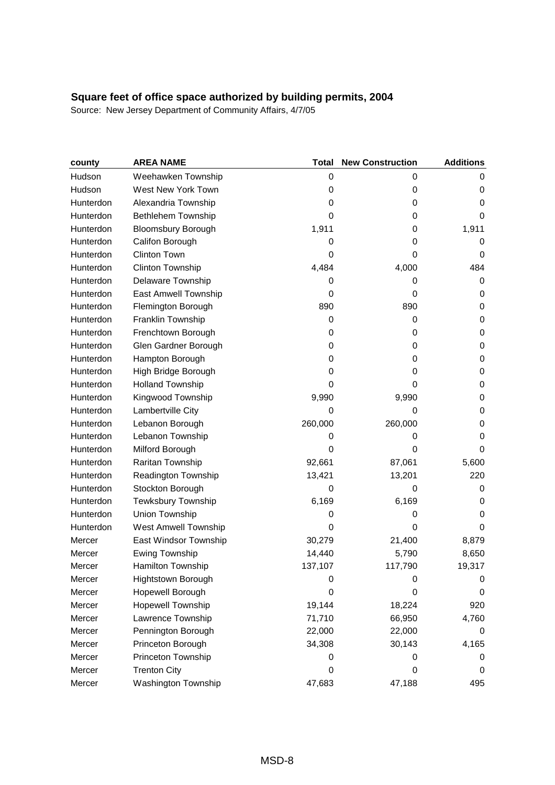| county    | <b>AREA NAME</b>            | <b>Total</b> | <b>New Construction</b> | <b>Additions</b> |
|-----------|-----------------------------|--------------|-------------------------|------------------|
| Hudson    | Weehawken Township          | $\mathbf 0$  | 0                       | 0                |
| Hudson    | West New York Town          | $\mathbf 0$  | 0                       | 0                |
| Hunterdon | Alexandria Township         | 0            | 0                       | 0                |
| Hunterdon | Bethlehem Township          | 0            | 0                       | $\mathbf 0$      |
| Hunterdon | <b>Bloomsbury Borough</b>   | 1,911        | 0                       | 1,911            |
| Hunterdon | Califon Borough             | 0            | 0                       | 0                |
| Hunterdon | <b>Clinton Town</b>         | 0            | 0                       | 0                |
| Hunterdon | Clinton Township            | 4,484        | 4,000                   | 484              |
| Hunterdon | Delaware Township           | 0            | 0                       | 0                |
| Hunterdon | East Amwell Township        | 0            | 0                       | 0                |
| Hunterdon | Flemington Borough          | 890          | 890                     | 0                |
| Hunterdon | Franklin Township           | 0            | 0                       | $\mathbf 0$      |
| Hunterdon | Frenchtown Borough          | 0            | 0                       | 0                |
| Hunterdon | Glen Gardner Borough        | 0            | 0                       | 0                |
| Hunterdon | Hampton Borough             | 0            | 0                       | $\mathbf 0$      |
| Hunterdon | High Bridge Borough         | $\mathbf 0$  | 0                       | 0                |
| Hunterdon | <b>Holland Township</b>     | 0            | 0                       | 0                |
| Hunterdon | Kingwood Township           | 9,990        | 9,990                   | 0                |
| Hunterdon | Lambertville City           | 0            | 0                       | $\mathbf 0$      |
| Hunterdon | Lebanon Borough             | 260,000      | 260,000                 | 0                |
| Hunterdon | Lebanon Township            | 0            | 0                       | 0                |
| Hunterdon | Milford Borough             | 0            | 0                       | 0                |
| Hunterdon | Raritan Township            | 92,661       | 87,061                  | 5,600            |
| Hunterdon | Readington Township         | 13,421       | 13,201                  | 220              |
| Hunterdon | Stockton Borough            | 0            | 0                       | 0                |
| Hunterdon | <b>Tewksbury Township</b>   | 6,169        | 6,169                   | 0                |
| Hunterdon | Union Township              | $\mathbf 0$  | 0                       | 0                |
| Hunterdon | <b>West Amwell Township</b> | 0            | 0                       | 0                |
| Mercer    | East Windsor Township       | 30,279       | 21,400                  | 8,879            |
| Mercer    | <b>Ewing Township</b>       | 14,440       | 5,790                   | 8,650            |
| Mercer    | Hamilton Township           | 137,107      | 117,790                 | 19,317           |
| Mercer    | Hightstown Borough          | 0            | 0                       | 0                |
| Mercer    | Hopewell Borough            | 0            | 0                       | 0                |
| Mercer    | <b>Hopewell Township</b>    | 19,144       | 18,224                  | 920              |
| Mercer    | Lawrence Township           | 71,710       | 66,950                  | 4,760            |
| Mercer    | Pennington Borough          | 22,000       | 22,000                  | 0                |
| Mercer    | Princeton Borough           | 34,308       | 30,143                  | 4,165            |
| Mercer    | Princeton Township          | 0            | 0                       | 0                |
| Mercer    | <b>Trenton City</b>         | 0            | 0                       | 0                |
| Mercer    | Washington Township         | 47,683       | 47,188                  | 495              |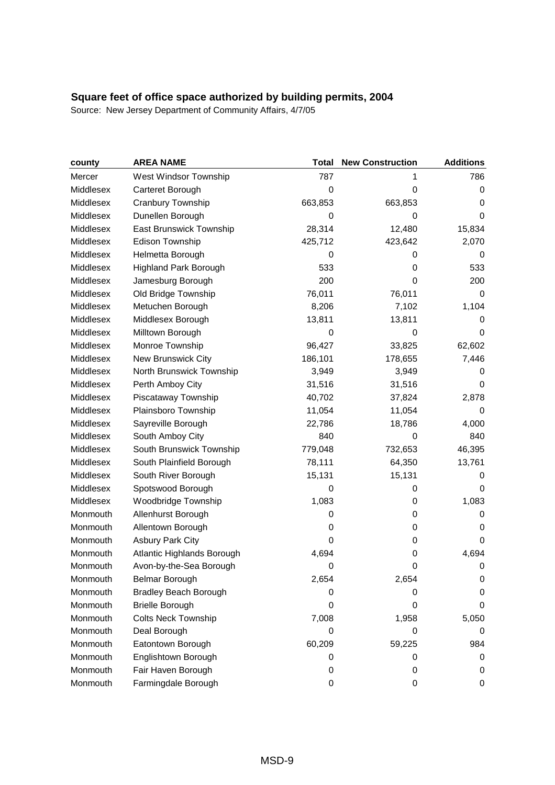| county    | <b>AREA NAME</b>             | Total       | <b>New Construction</b> | <b>Additions</b> |
|-----------|------------------------------|-------------|-------------------------|------------------|
| Mercer    | West Windsor Township        | 787         | 1                       | 786              |
| Middlesex | Carteret Borough             | $\mathbf 0$ | 0                       | 0                |
| Middlesex | Cranbury Township            | 663,853     | 663,853                 | 0                |
| Middlesex | Dunellen Borough             | $\mathbf 0$ | 0                       | 0                |
| Middlesex | East Brunswick Township      | 28,314      | 12,480                  | 15,834           |
| Middlesex | Edison Township              | 425,712     | 423,642                 | 2,070            |
| Middlesex | Helmetta Borough             | 0           | 0                       | 0                |
| Middlesex | <b>Highland Park Borough</b> | 533         | 0                       | 533              |
| Middlesex | Jamesburg Borough            | 200         | 0                       | 200              |
| Middlesex | Old Bridge Township          | 76,011      | 76,011                  | 0                |
| Middlesex | Metuchen Borough             | 8,206       | 7,102                   | 1,104            |
| Middlesex | Middlesex Borough            | 13,811      | 13,811                  | 0                |
| Middlesex | Milltown Borough             | 0           | 0                       | 0                |
| Middlesex | Monroe Township              | 96,427      | 33,825                  | 62,602           |
| Middlesex | New Brunswick City           | 186,101     | 178,655                 | 7,446            |
| Middlesex | North Brunswick Township     | 3,949       | 3,949                   | 0                |
| Middlesex | Perth Amboy City             | 31,516      | 31,516                  | 0                |
| Middlesex | Piscataway Township          | 40,702      | 37,824                  | 2,878            |
| Middlesex | Plainsboro Township          | 11,054      | 11,054                  | 0                |
| Middlesex | Sayreville Borough           | 22,786      | 18,786                  | 4,000            |
| Middlesex | South Amboy City             | 840         | 0                       | 840              |
| Middlesex | South Brunswick Township     | 779,048     | 732,653                 | 46,395           |
| Middlesex | South Plainfield Borough     | 78,111      | 64,350                  | 13,761           |
| Middlesex | South River Borough          | 15,131      | 15,131                  | 0                |
| Middlesex | Spotswood Borough            | $\mathbf 0$ | 0                       | 0                |
| Middlesex | Woodbridge Township          | 1,083       | 0                       | 1,083            |
| Monmouth  | Allenhurst Borough           | 0           | 0                       | $\mathbf 0$      |
| Monmouth  | Allentown Borough            | 0           | 0                       | 0                |
| Monmouth  | <b>Asbury Park City</b>      | 0           | 0                       | 0                |
| Monmouth  | Atlantic Highlands Borough   | 4,694       | 0                       | 4,694            |
| Monmouth  | Avon-by-the-Sea Borough      | 0           | 0                       | 0                |
| Monmouth  | <b>Belmar Borough</b>        | 2,654       | 2,654                   | 0                |
| Monmouth  | <b>Bradley Beach Borough</b> | 0           | 0                       | 0                |
| Monmouth  | <b>Brielle Borough</b>       | 0           | 0                       | 0                |
| Monmouth  | <b>Colts Neck Township</b>   | 7,008       | 1,958                   | 5,050            |
| Monmouth  | Deal Borough                 | 0           | 0                       | 0                |
| Monmouth  | Eatontown Borough            | 60,209      | 59,225                  | 984              |
| Monmouth  | Englishtown Borough          | 0           | 0                       | 0                |
| Monmouth  | Fair Haven Borough           | 0           | 0                       | 0                |
| Monmouth  | Farmingdale Borough          | 0           | 0                       | 0                |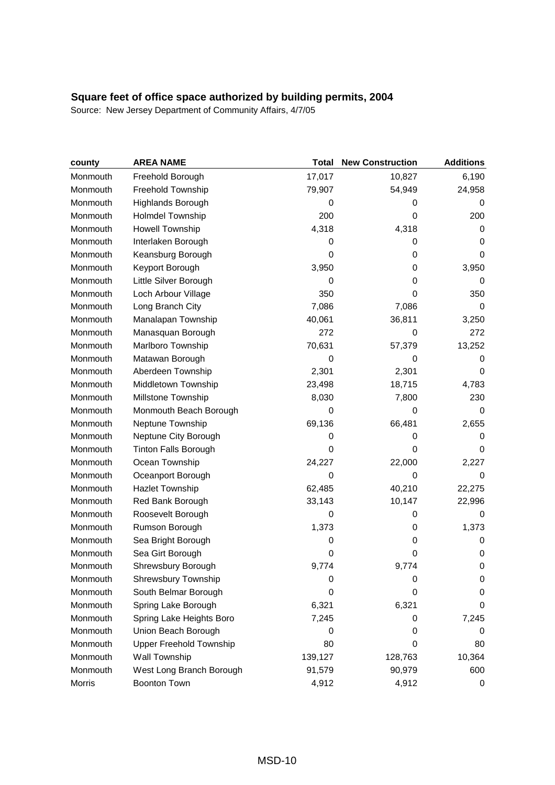| county   | <b>AREA NAME</b>            | <b>Total</b> | <b>New Construction</b> | <b>Additions</b> |
|----------|-----------------------------|--------------|-------------------------|------------------|
| Monmouth | Freehold Borough            | 17,017       | 10,827                  | 6,190            |
| Monmouth | Freehold Township           | 79,907       | 54,949                  | 24,958           |
| Monmouth | Highlands Borough           | 0            | 0                       | 0                |
| Monmouth | <b>Holmdel Township</b>     | 200          | 0                       | 200              |
| Monmouth | <b>Howell Township</b>      | 4,318        | 4,318                   | 0                |
| Monmouth | Interlaken Borough          | 0            | 0                       | 0                |
| Monmouth | Keansburg Borough           | $\mathbf 0$  | 0                       | 0                |
| Monmouth | Keyport Borough             | 3,950        | 0                       | 3,950            |
| Monmouth | Little Silver Borough       | 0            | 0                       | 0                |
| Monmouth | Loch Arbour Village         | 350          | 0                       | 350              |
| Monmouth | Long Branch City            | 7,086        | 7,086                   | 0                |
| Monmouth | Manalapan Township          | 40,061       | 36,811                  | 3,250            |
| Monmouth | Manasquan Borough           | 272          | 0                       | 272              |
| Monmouth | Marlboro Township           | 70,631       | 57,379                  | 13,252           |
| Monmouth | Matawan Borough             | $\mathbf 0$  | 0                       | 0                |
| Monmouth | Aberdeen Township           | 2,301        | 2,301                   | 0                |
| Monmouth | Middletown Township         | 23,498       | 18,715                  | 4,783            |
| Monmouth | Millstone Township          | 8,030        | 7,800                   | 230              |
| Monmouth | Monmouth Beach Borough      | 0            | 0                       | 0                |
| Monmouth | Neptune Township            | 69,136       | 66,481                  | 2,655            |
| Monmouth | Neptune City Borough        | 0            | 0                       | 0                |
| Monmouth | <b>Tinton Falls Borough</b> | 0            | 0                       | 0                |
| Monmouth | Ocean Township              | 24,227       | 22,000                  | 2,227            |
| Monmouth | Oceanport Borough           | 0            | 0                       | 0                |
| Monmouth | <b>Hazlet Township</b>      | 62,485       | 40,210                  | 22,275           |
| Monmouth | Red Bank Borough            | 33,143       | 10,147                  | 22,996           |
| Monmouth | Roosevelt Borough           | $\mathbf 0$  | 0                       | $\mathbf 0$      |
| Monmouth | Rumson Borough              | 1,373        | 0                       | 1,373            |
| Monmouth | Sea Bright Borough          | 0            | 0                       | 0                |
| Monmouth | Sea Girt Borough            | 0            | 0                       | 0                |
| Monmouth | Shrewsbury Borough          | 9,774        | 9,774                   | $\mathbf 0$      |
| Monmouth | <b>Shrewsbury Township</b>  | 0            | 0                       | 0                |
| Monmouth | South Belmar Borough        | $\mathbf 0$  | 0                       | 0                |
| Monmouth | Spring Lake Borough         | 6,321        | 6,321                   | 0                |
| Monmouth | Spring Lake Heights Boro    | 7,245        | 0                       | 7,245            |
| Monmouth | Union Beach Borough         | 0            | 0                       | 0                |
| Monmouth | Upper Freehold Township     | 80           | 0                       | 80               |
| Monmouth | Wall Township               | 139,127      | 128,763                 | 10,364           |
| Monmouth | West Long Branch Borough    | 91,579       | 90,979                  | 600              |
| Morris   | Boonton Town                | 4,912        | 4,912                   | 0                |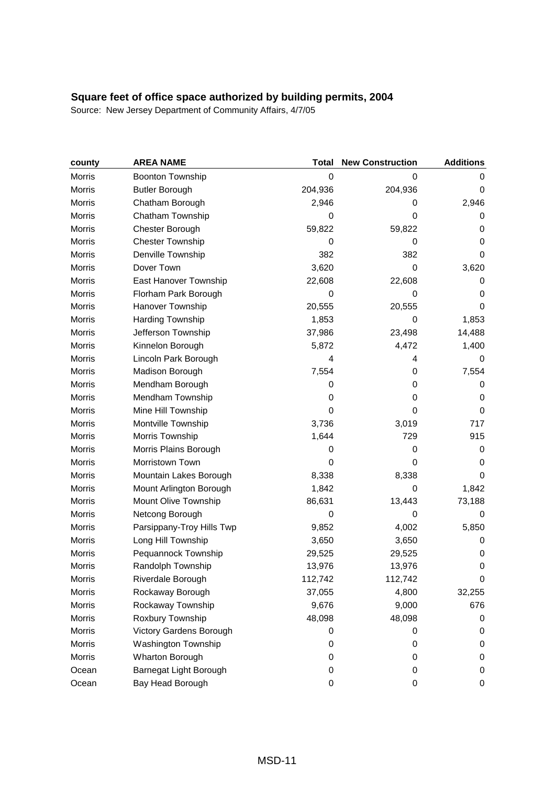| county        | <b>AREA NAME</b>          | <b>Total</b> | <b>New Construction</b> | <b>Additions</b> |
|---------------|---------------------------|--------------|-------------------------|------------------|
| Morris        | Boonton Township          | $\mathbf 0$  | 0                       | 0                |
| Morris        | <b>Butler Borough</b>     | 204,936      | 204,936                 | 0                |
| Morris        | Chatham Borough           | 2,946        | 0                       | 2,946            |
| Morris        | Chatham Township          | 0            | 0                       | 0                |
| Morris        | Chester Borough           | 59,822       | 59,822                  | 0                |
| Morris        | <b>Chester Township</b>   | 0            | 0                       | 0                |
| Morris        | Denville Township         | 382          | 382                     | 0                |
| Morris        | Dover Town                | 3,620        | 0                       | 3,620            |
| <b>Morris</b> | East Hanover Township     | 22,608       | 22,608                  | 0                |
| Morris        | Florham Park Borough      | $\mathbf 0$  | 0                       | 0                |
| Morris        | Hanover Township          | 20,555       | 20,555                  | 0                |
| Morris        | Harding Township          | 1,853        | 0                       | 1,853            |
| Morris        | Jefferson Township        | 37,986       | 23,498                  | 14,488           |
| Morris        | Kinnelon Borough          | 5,872        | 4,472                   | 1,400            |
| Morris        | Lincoln Park Borough      | 4            | 4                       | 0                |
| Morris        | Madison Borough           | 7,554        | 0                       | 7,554            |
| Morris        | Mendham Borough           | 0            | 0                       | 0                |
| Morris        | Mendham Township          | 0            | 0                       | 0                |
| Morris        | Mine Hill Township        | $\mathbf 0$  | 0                       | 0                |
| Morris        | Montville Township        | 3,736        | 3,019                   | 717              |
| Morris        | Morris Township           | 1,644        | 729                     | 915              |
| Morris        | Morris Plains Borough     | 0            | 0                       | 0                |
| Morris        | Morristown Town           | 0            | 0                       | 0                |
| Morris        | Mountain Lakes Borough    | 8,338        | 8,338                   | 0                |
| Morris        | Mount Arlington Borough   | 1,842        | 0                       | 1,842            |
| Morris        | Mount Olive Township      | 86,631       | 13,443                  | 73,188           |
| Morris        | Netcong Borough           | 0            | 0                       | 0                |
| Morris        | Parsippany-Troy Hills Twp | 9,852        | 4,002                   | 5,850            |
| Morris        | Long Hill Township        | 3,650        | 3,650                   | 0                |
| Morris        | Pequannock Township       | 29,525       | 29,525                  | 0                |
| Morris        | Randolph Township         | 13,976       | 13,976                  | $\mathbf 0$      |
| Morris        | Riverdale Borough         | 112,742      | 112,742                 | 0                |
| Morris        | Rockaway Borough          | 37,055       | 4,800                   | 32,255           |
| Morris        | Rockaway Township         | 9,676        | 9,000                   | 676              |
| Morris        | Roxbury Township          | 48,098       | 48,098                  | 0                |
| Morris        | Victory Gardens Borough   | 0            | 0                       | 0                |
| Morris        | Washington Township       | 0            | 0                       | 0                |
| Morris        | Wharton Borough           | 0            | 0                       | 0                |
| Ocean         | Barnegat Light Borough    | 0            | 0                       | 0                |
| Ocean         | Bay Head Borough          | 0            | 0                       | 0                |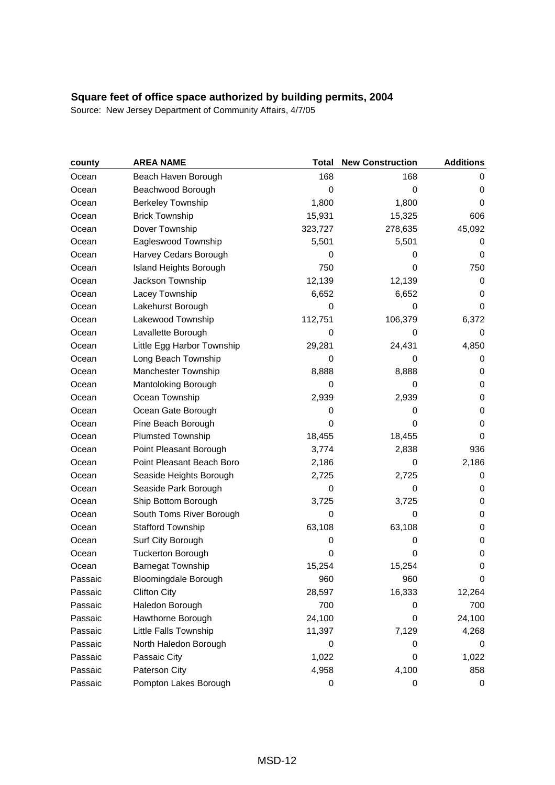| county  | <b>AREA NAME</b>            | Total       | <b>New Construction</b> | <b>Additions</b> |
|---------|-----------------------------|-------------|-------------------------|------------------|
| Ocean   | Beach Haven Borough         | 168         | 168                     | 0                |
| Ocean   | Beachwood Borough           | $\mathbf 0$ | 0                       | 0                |
| Ocean   | <b>Berkeley Township</b>    | 1,800       | 1,800                   | 0                |
| Ocean   | <b>Brick Township</b>       | 15,931      | 15,325                  | 606              |
| Ocean   | Dover Township              | 323,727     | 278,635                 | 45,092           |
| Ocean   | Eagleswood Township         | 5,501       | 5,501                   | 0                |
| Ocean   | Harvey Cedars Borough       | 0           | 0                       | 0                |
| Ocean   | Island Heights Borough      | 750         | 0                       | 750              |
| Ocean   | Jackson Township            | 12,139      | 12,139                  | 0                |
| Ocean   | Lacey Township              | 6,652       | 6,652                   | 0                |
| Ocean   | Lakehurst Borough           | 0           | 0                       | 0                |
| Ocean   | Lakewood Township           | 112,751     | 106,379                 | 6,372            |
| Ocean   | Lavallette Borough          | 0           | 0                       | 0                |
| Ocean   | Little Egg Harbor Township  | 29,281      | 24,431                  | 4,850            |
| Ocean   | Long Beach Township         | 0           | 0                       | 0                |
| Ocean   | Manchester Township         | 8,888       | 8,888                   | 0                |
| Ocean   | Mantoloking Borough         | 0           | 0                       | 0                |
| Ocean   | Ocean Township              | 2,939       | 2,939                   | 0                |
| Ocean   | Ocean Gate Borough          | 0           | 0                       | $\mathbf 0$      |
| Ocean   | Pine Beach Borough          | 0           | 0                       | 0                |
| Ocean   | <b>Plumsted Township</b>    | 18,455      | 18,455                  | 0                |
| Ocean   | Point Pleasant Borough      | 3,774       | 2,838                   | 936              |
| Ocean   | Point Pleasant Beach Boro   | 2,186       | 0                       | 2,186            |
| Ocean   | Seaside Heights Borough     | 2,725       | 2,725                   | 0                |
| Ocean   | Seaside Park Borough        | 0           | 0                       | 0                |
| Ocean   | Ship Bottom Borough         | 3,725       | 3,725                   | 0                |
| Ocean   | South Toms River Borough    | $\mathbf 0$ | 0                       | 0                |
| Ocean   | <b>Stafford Township</b>    | 63,108      | 63,108                  | 0                |
| Ocean   | Surf City Borough           | 0           | 0                       | 0                |
| Ocean   | <b>Tuckerton Borough</b>    | 0           | 0                       | 0                |
| Ocean   | <b>Barnegat Township</b>    | 15,254      | 15,254                  | $\mathbf 0$      |
| Passaic | <b>Bloomingdale Borough</b> | 960         | 960                     | 0                |
| Passaic | <b>Clifton City</b>         | 28,597      | 16,333                  | 12,264           |
| Passaic | Haledon Borough             | 700         | 0                       | 700              |
| Passaic | Hawthorne Borough           | 24,100      | 0                       | 24,100           |
| Passaic | Little Falls Township       | 11,397      | 7,129                   | 4,268            |
| Passaic | North Haledon Borough       | 0           | 0                       | 0                |
| Passaic | Passaic City                | 1,022       | 0                       | 1,022            |
| Passaic | Paterson City               | 4,958       | 4,100                   | 858              |
| Passaic | Pompton Lakes Borough       | 0           | 0                       | 0                |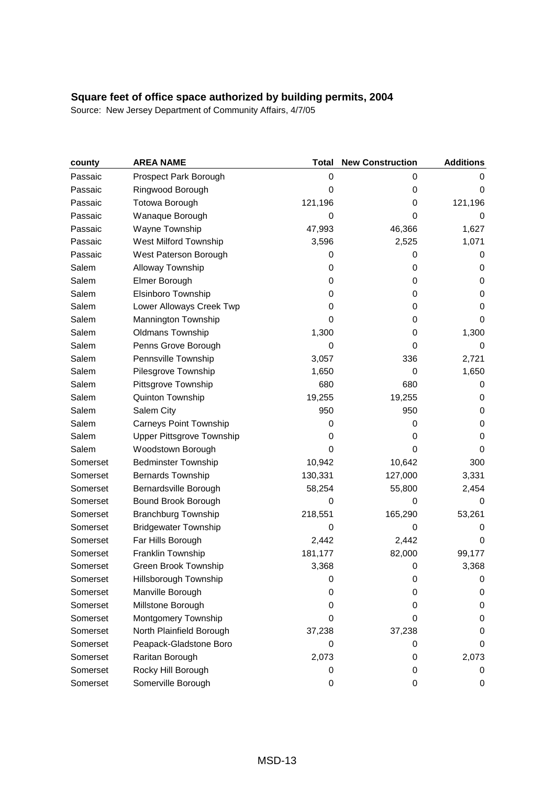| county   | <b>AREA NAME</b>              | <b>Total</b> | <b>New Construction</b> | <b>Additions</b> |
|----------|-------------------------------|--------------|-------------------------|------------------|
| Passaic  | Prospect Park Borough         | 0            | 0                       | 0                |
| Passaic  | Ringwood Borough              | $\mathbf 0$  | 0                       | 0                |
| Passaic  | Totowa Borough                | 121,196      | 0                       | 121,196          |
| Passaic  | Wanaque Borough               | $\mathbf 0$  | 0                       | 0                |
| Passaic  | Wayne Township                | 47,993       | 46,366                  | 1,627            |
| Passaic  | West Milford Township         | 3,596        | 2,525                   | 1,071            |
| Passaic  | West Paterson Borough         | 0            | 0                       | 0                |
| Salem    | Alloway Township              | 0            | 0                       | 0                |
| Salem    | Elmer Borough                 | 0            | 0                       | 0                |
| Salem    | Elsinboro Township            | 0            | 0                       | 0                |
| Salem    | Lower Alloways Creek Twp      | 0            | 0                       | 0                |
| Salem    | Mannington Township           | 0            | 0                       | 0                |
| Salem    | <b>Oldmans Township</b>       | 1,300        | 0                       | 1,300            |
| Salem    | Penns Grove Borough           | 0            | 0                       | 0                |
| Salem    | Pennsville Township           | 3,057        | 336                     | 2,721            |
| Salem    | Pilesgrove Township           | 1,650        | 0                       | 1,650            |
| Salem    | Pittsgrove Township           | 680          | 680                     | 0                |
| Salem    | Quinton Township              | 19,255       | 19,255                  | 0                |
| Salem    | Salem City                    | 950          | 950                     | 0                |
| Salem    | <b>Carneys Point Township</b> | 0            | 0                       | 0                |
| Salem    | Upper Pittsgrove Township     | 0            | 0                       | 0                |
| Salem    | Woodstown Borough             | 0            | 0                       | 0                |
| Somerset | <b>Bedminster Township</b>    | 10,942       | 10,642                  | 300              |
| Somerset | <b>Bernards Township</b>      | 130,331      | 127,000                 | 3,331            |
| Somerset | Bernardsville Borough         | 58,254       | 55,800                  | 2,454            |
| Somerset | Bound Brook Borough           | 0            | 0                       | 0                |
| Somerset | <b>Branchburg Township</b>    | 218,551      | 165,290                 | 53,261           |
| Somerset | <b>Bridgewater Township</b>   | 0            | 0                       | 0                |
| Somerset | Far Hills Borough             | 2,442        | 2,442                   | 0                |
| Somerset | Franklin Township             | 181,177      | 82,000                  | 99,177           |
| Somerset | Green Brook Township          | 3,368        | 0                       | 3,368            |
| Somerset | Hillsborough Township         | 0            | 0                       | 0                |
| Somerset | Manville Borough              | 0            | 0                       | 0                |
| Somerset | Millstone Borough             | 0            | 0                       | 0                |
| Somerset | Montgomery Township           | 0            | 0                       | 0                |
| Somerset | North Plainfield Borough      | 37,238       | 37,238                  | 0                |
| Somerset | Peapack-Gladstone Boro        | 0            | 0                       | 0                |
| Somerset | Raritan Borough               | 2,073        | 0                       | 2,073            |
| Somerset | Rocky Hill Borough            | 0            | 0                       | 0                |
| Somerset | Somerville Borough            | 0            | 0                       | 0                |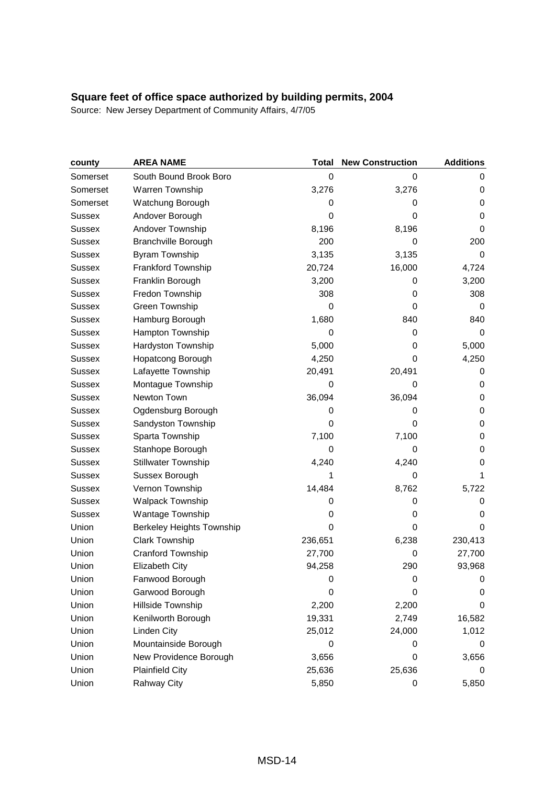| county        | <b>AREA NAME</b>           | <b>Total</b> | <b>New Construction</b> | <b>Additions</b> |
|---------------|----------------------------|--------------|-------------------------|------------------|
| Somerset      | South Bound Brook Boro     | $\mathbf 0$  | 0                       | 0                |
| Somerset      | Warren Township            | 3,276        | 3,276                   | 0                |
| Somerset      | Watchung Borough           | 0            | 0                       | 0                |
| <b>Sussex</b> | Andover Borough            | 0            | 0                       | 0                |
| <b>Sussex</b> | Andover Township           | 8,196        | 8,196                   | 0                |
| Sussex        | <b>Branchville Borough</b> | 200          | 0                       | 200              |
| <b>Sussex</b> | <b>Byram Township</b>      | 3,135        | 3,135                   | 0                |
| Sussex        | Frankford Township         | 20,724       | 16,000                  | 4,724            |
| <b>Sussex</b> | Franklin Borough           | 3,200        | 0                       | 3,200            |
| Sussex        | Fredon Township            | 308          | 0                       | 308              |
| <b>Sussex</b> | Green Township             | $\mathbf 0$  | 0                       | 0                |
| <b>Sussex</b> | Hamburg Borough            | 1,680        | 840                     | 840              |
| Sussex        | Hampton Township           | $\mathbf 0$  | 0                       | 0                |
| Sussex        | Hardyston Township         | 5,000        | 0                       | 5,000            |
| Sussex        | Hopatcong Borough          | 4,250        | 0                       | 4,250            |
| Sussex        | Lafayette Township         | 20,491       | 20,491                  | 0                |
| Sussex        | Montague Township          | $\mathbf 0$  | 0                       | 0                |
| <b>Sussex</b> | Newton Town                | 36,094       | 36,094                  | 0                |
| <b>Sussex</b> | Ogdensburg Borough         | 0            | 0                       | 0                |
| Sussex        | Sandyston Township         | $\mathbf 0$  | 0                       | 0                |
| <b>Sussex</b> | Sparta Township            | 7,100        | 7,100                   | 0                |
| Sussex        | Stanhope Borough           | $\mathbf 0$  | 0                       | 0                |
| <b>Sussex</b> | <b>Stillwater Township</b> | 4,240        | 4,240                   | 0                |
| Sussex        | Sussex Borough             |              | 0                       | 1                |
| <b>Sussex</b> | Vernon Township            | 14,484       | 8,762                   | 5,722            |
| Sussex        | Walpack Township           | 0            | 0                       | 0                |
| Sussex        | Wantage Township           | 0            | 0                       | 0                |
| Union         | Berkeley Heights Township  | 0            | 0                       | 0                |
| Union         | <b>Clark Township</b>      | 236,651      | 6,238                   | 230,413          |
| Union         | Cranford Township          | 27,700       | 0                       | 27,700           |
| Union         | Elizabeth City             | 94,258       | 290                     | 93,968           |
| Union         | Fanwood Borough            | 0            | 0                       | 0                |
| Union         | Garwood Borough            | 0            | 0                       | 0                |
| Union         | Hillside Township          | 2,200        | 2,200                   | 0                |
| Union         | Kenilworth Borough         | 19,331       | 2,749                   | 16,582           |
| Union         | <b>Linden City</b>         | 25,012       | 24,000                  | 1,012            |
| Union         | Mountainside Borough       | 0            | 0                       | 0                |
| Union         | New Providence Borough     | 3,656        | 0                       | 3,656            |
| Union         | <b>Plainfield City</b>     | 25,636       | 25,636                  | 0                |
| Union         | Rahway City                | 5,850        | 0                       | 5,850            |